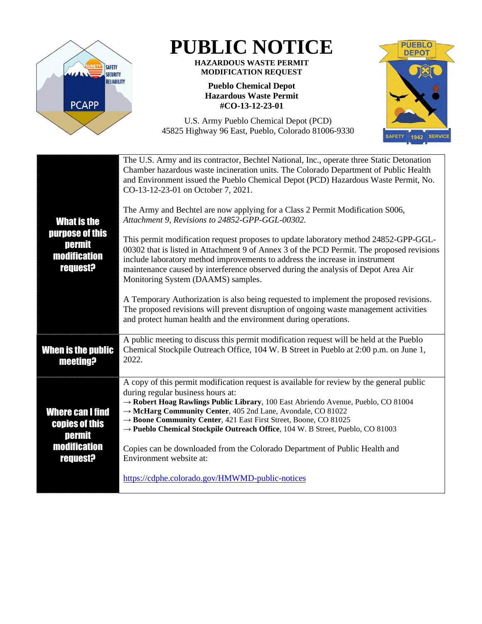

## **PUBLIC NOTICE**

## **HAZARDOUS WASTE PERMIT MODIFICATION REQUEST**

## **Pueblo Chemical Depot Hazardous Waste Permit #CO-13-12-23-01**



U.S. Army Pueblo Chemical Depot (PCD) 45825 Highway 96 East, Pueblo, Colorado 81006-9330

| <b>What is the</b><br>purpose of this<br>permit<br><b>modification</b><br><b>request?</b> | The U.S. Army and its contractor, Bechtel National, Inc., operate three Static Detonation<br>Chamber hazardous waste incineration units. The Colorado Department of Public Health<br>and Environment issued the Pueblo Chemical Depot (PCD) Hazardous Waste Permit, No.<br>CO-13-12-23-01 on October 7, 2021.                                                                                                                                        |
|-------------------------------------------------------------------------------------------|------------------------------------------------------------------------------------------------------------------------------------------------------------------------------------------------------------------------------------------------------------------------------------------------------------------------------------------------------------------------------------------------------------------------------------------------------|
|                                                                                           | The Army and Bechtel are now applying for a Class 2 Permit Modification S006,<br>Attachment 9, Revisions to 24852-GPP-GGL-00302.                                                                                                                                                                                                                                                                                                                     |
|                                                                                           | This permit modification request proposes to update laboratory method 24852-GPP-GGL-<br>00302 that is listed in Attachment 9 of Annex 3 of the PCD Permit. The proposed revisions<br>include laboratory method improvements to address the increase in instrument<br>maintenance caused by interference observed during the analysis of Depot Area Air<br>Monitoring System (DAAMS) samples.                                                         |
|                                                                                           | A Temporary Authorization is also being requested to implement the proposed revisions.<br>The proposed revisions will prevent disruption of ongoing waste management activities<br>and protect human health and the environment during operations.                                                                                                                                                                                                   |
| <b>When is the public</b><br>meeting?                                                     | A public meeting to discuss this permit modification request will be held at the Pueblo<br>Chemical Stockpile Outreach Office, 104 W. B Street in Pueblo at 2:00 p.m. on June 1,<br>2022.                                                                                                                                                                                                                                                            |
| Where can I find<br><b>copies of this</b><br>permit<br>modification<br><b>request?</b>    | A copy of this permit modification request is available for review by the general public<br>during regular business hours at:<br>-> Robert Hoag Rawlings Public Library, 100 East Abriendo Avenue, Pueblo, CO 81004<br>→ McHarg Community Center, 405 2nd Lane, Avondale, CO 81022<br>→ Boone Community Center, 421 East First Street, Boone, CO 81025<br>$\rightarrow$ Pueblo Chemical Stockpile Outreach Office, 104 W. B Street, Pueblo, CO 81003 |
|                                                                                           | Copies can be downloaded from the Colorado Department of Public Health and<br>Environment website at:                                                                                                                                                                                                                                                                                                                                                |
|                                                                                           | https://cdphe.colorado.gov/HMWMD-public-notices                                                                                                                                                                                                                                                                                                                                                                                                      |